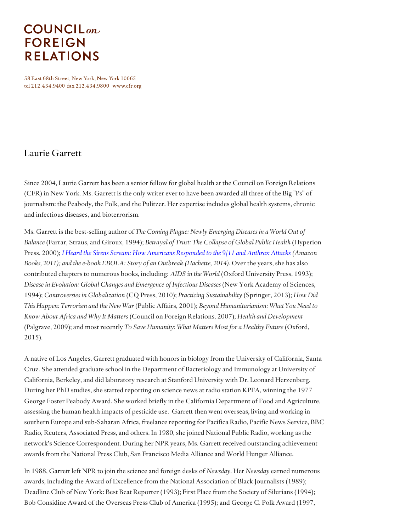## **COUNCIL**<sub>on</sub> **FOREIGN RELATIONS**

58 East 68th Street, New York, New York 10065 tel 212.434.9400 fax 212.434.9800 www.cfr.org

## Laurie Garrett

Since 2004, Laurie Garrett has been a senior fellow for global health at the Council on Foreign Relations (CFR) in New York. Ms. Garrett is the only writer ever to have been awarded all three of the Big "Ps" of journalism: the Peabody, the Polk, and the Pulitzer. Her expertise includes global health systems, chronic and infectious diseases, and bioterrorism.

Ms. Garrett is the best-selling author of *The Coming Plague: Newly Emerging Diseases in a World Out of Balance* (Farrar, Straus, and Giroux, 1994); *Betrayal of Trust: The Collapse of Global Public Health* (Hyperion Press, 2000); *I Heard the Sirens Scream: How Americans [Responded](http://www.cfr.org/terrorist-attacks/heard-sirens-scream/p25543) to the 9/11 and Anthrax Attacks (Amazon Books, 2011); and the e-book EBOLA: Story of an Outbreak (Hachette, 2014).* Over the years, she has also contributed chapters to numerous books, including: *AIDS in the World* (Oxford University Press, 1993); *Disease in Evolution: Global Changes and Emergence of Infectious Diseases* (New York Academy of Sciences, 1994); *Controversies in Globalization* (CQ Press, 2010); *Practicing Sustainability* (Springer, 2013); *How Did This Happen: Terrorism and the New War* (Public Affairs, 2001); *Beyond Humanitarianism: What You Need to Know About Africa and Why It Matters* (Council on Foreign Relations, 2007); *Health and Development* (Palgrave, 2009); and most recently *To Save Humanity: What Matters Most for a Healthy Future* (Oxford, 2015).

A native of Los Angeles, Garrett graduated with honors in biology from the University of California, Santa Cruz. She attended graduate school in the Department of Bacteriology and Immunology at University of California, Berkeley, and did laboratory research at Stanford University with Dr. Leonard Herzenberg. During her PhD studies, she started reporting on science news at radio station KPFA, winning the 1977 George Foster Peabody Award. She worked briefly in the California Department of Food and Agriculture, assessing the human health impacts of pesticide use. Garrett then went overseas, living and working in southern Europe and sub-Saharan Africa, freelance reporting for Pacifica Radio, Pacific News Service, BBC Radio, Reuters, Associated Press, and others. In 1980, she joined National Public Radio, working as the network's Science Correspondent. During her NPR years, Ms. Garrett received outstanding achievement awards from the National Press Club, San Francisco Media Alliance and World Hunger Alliance.

In 1988, Garrett left NPR to join the science and foreign desks of *Newsday*. Her *Newsday* earned numerous awards, including the Award of Excellence from the National Association of Black Journalists (1989); Deadline Club of New York: Best Beat Reporter (1993); First Place from the Society of Silurians (1994); Bob Considine Award of the Overseas Press Club of America (1995); and George C. Polk Award (1997,